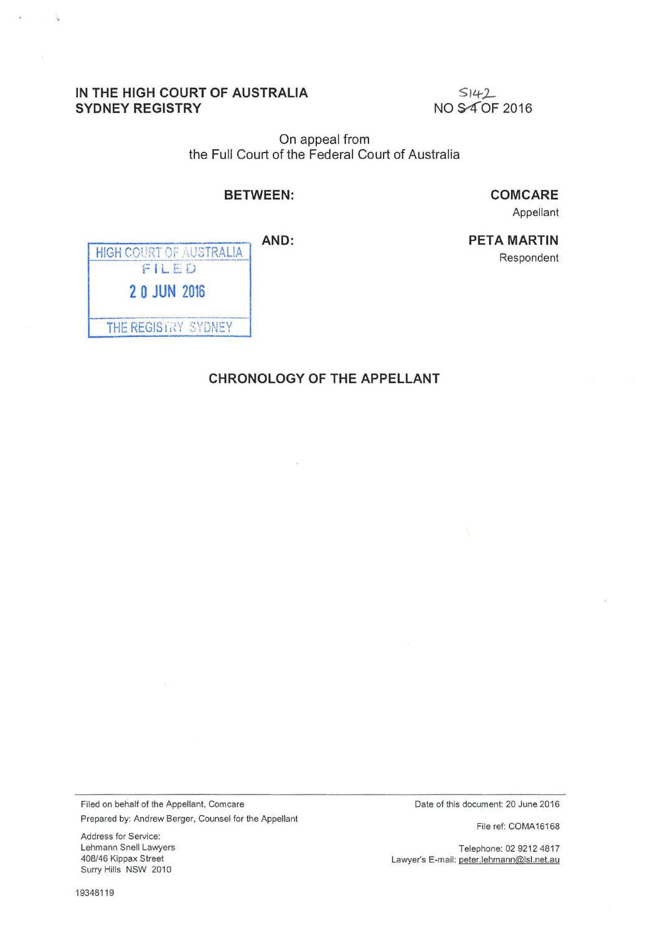## **IN THE HIGH COURT OF AUSTRALIA SYDNEY REGISTRY**

 $S142$ NO S4 OF 2016

On appeal from the Full Court of the Federal Court of Australia

## **BETWEEN:**

**COMCARE** 

**PETA MARTIN** 

Appellant

Respondent

**AND:** 

| <b>HIGH COURT OF AUSTRALIA</b><br>FILED |
|-----------------------------------------|
| <b>20 JUN 2016</b>                      |
| THE REGISTRY SYDNEY                     |

## **CHRONOLOGY OF THE APPELLANT**

Filed on behalf of the Appellant, Comcare Prepared by: Andrew Berger, Counsel for the Appellant

Address for Service: Lehmann Snell Lawyers 408/46 Kippax Street Surry Hills NSW 2010

Date of this document: 20 June 2016

File ref: COMA16168

Telephone: 02 9212 4817 Lawyer's E-mail: peter.lehmann@lsl.net.au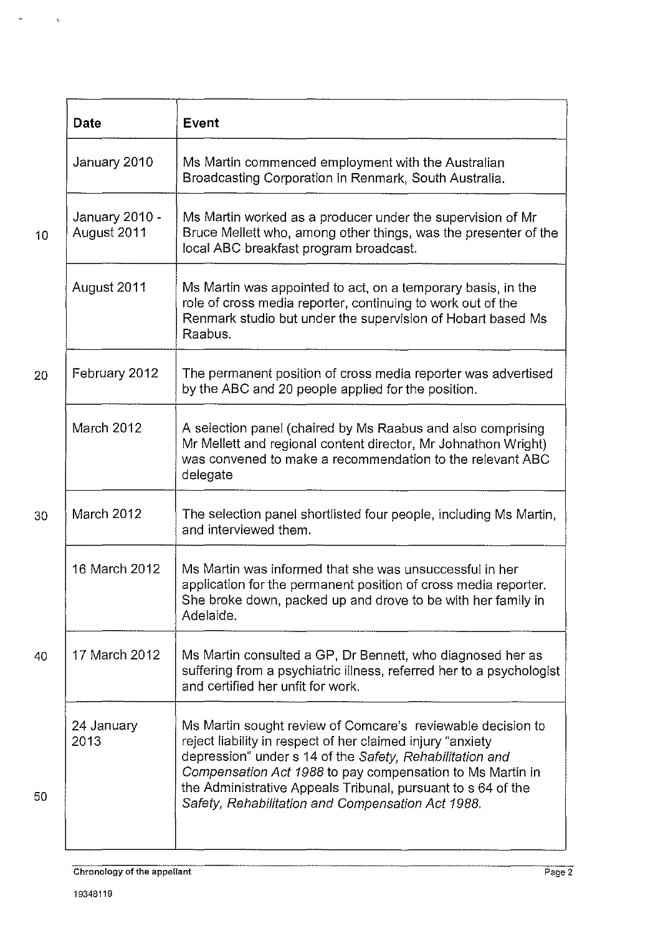| Date                          | Event                                                                                                                                                                                                                                                                                                                                                                   |
|-------------------------------|-------------------------------------------------------------------------------------------------------------------------------------------------------------------------------------------------------------------------------------------------------------------------------------------------------------------------------------------------------------------------|
| January 2010                  | Ms Martin commenced employment with the Australian<br>Broadcasting Corporation in Renmark, South Australia.                                                                                                                                                                                                                                                             |
| January 2010 -<br>August 2011 | Ms Martin worked as a producer under the supervision of Mr<br>Bruce Mellett who, among other things, was the presenter of the<br>local ABC breakfast program broadcast.                                                                                                                                                                                                 |
| August 2011                   | Ms Martin was appointed to act, on a temporary basis, in the<br>role of cross media reporter, continuing to work out of the<br>Renmark studio but under the supervision of Hobart based Ms<br>Raabus.                                                                                                                                                                   |
| February 2012                 | The permanent position of cross media reporter was advertised<br>by the ABC and 20 people applied for the position.                                                                                                                                                                                                                                                     |
| March 2012                    | A selection panel (chaired by Ms Raabus and also comprising<br>Mr Mellett and regional content director, Mr Johnathon Wright)<br>was convened to make a recommendation to the relevant ABC<br>delegate                                                                                                                                                                  |
| March 2012                    | The selection panel shortlisted four people, including Ms Martin,<br>and interviewed them.                                                                                                                                                                                                                                                                              |
| 16 March 2012                 | Ms Martin was informed that she was unsuccessful in her<br>application for the permanent position of cross media reporter.<br>She broke down, packed up and drove to be with her family in<br>Adelaide.                                                                                                                                                                 |
| 17 March 2012                 | Ms Martin consulted a GP, Dr Bennett, who diagnosed her as<br>suffering from a psychiatric illness, referred her to a psychologist<br>and certified her unfit for work.                                                                                                                                                                                                 |
| 24 January<br>2013            | Ms Martin sought review of Comcare's reviewable decision to<br>reject liability in respect of her claimed injury "anxiety<br>depression" under s 14 of the Safety, Rehabilitation and<br>Compensation Act 1988 to pay compensation to Ms Martin in<br>the Administrative Appeals Tribunal, pursuant to s 64 of the<br>Safety, Rehabilitation and Compensation Act 1988. |

 $\begin{array}{ccccc}\n\bullet & & & & \searrow\n\end{array}$